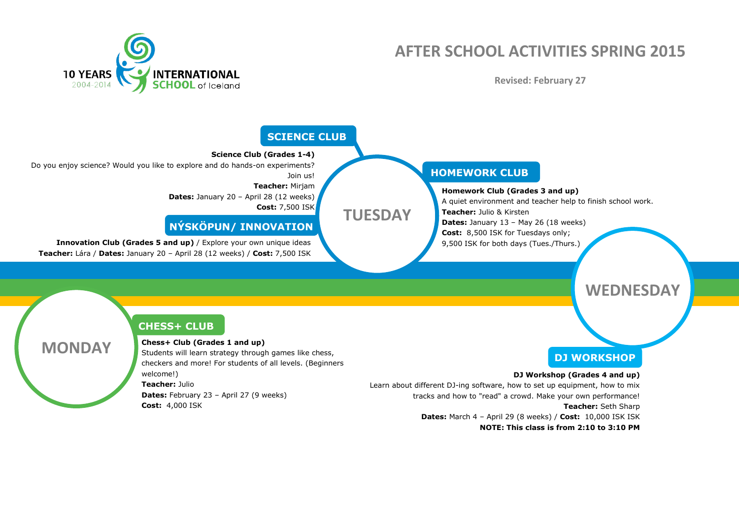

# **AFTER SCHOOL ACTIVITIES SPRING 2015**

**Revised: February 27**



**NOTE: This class is from 2:10 to 3:10 PM**